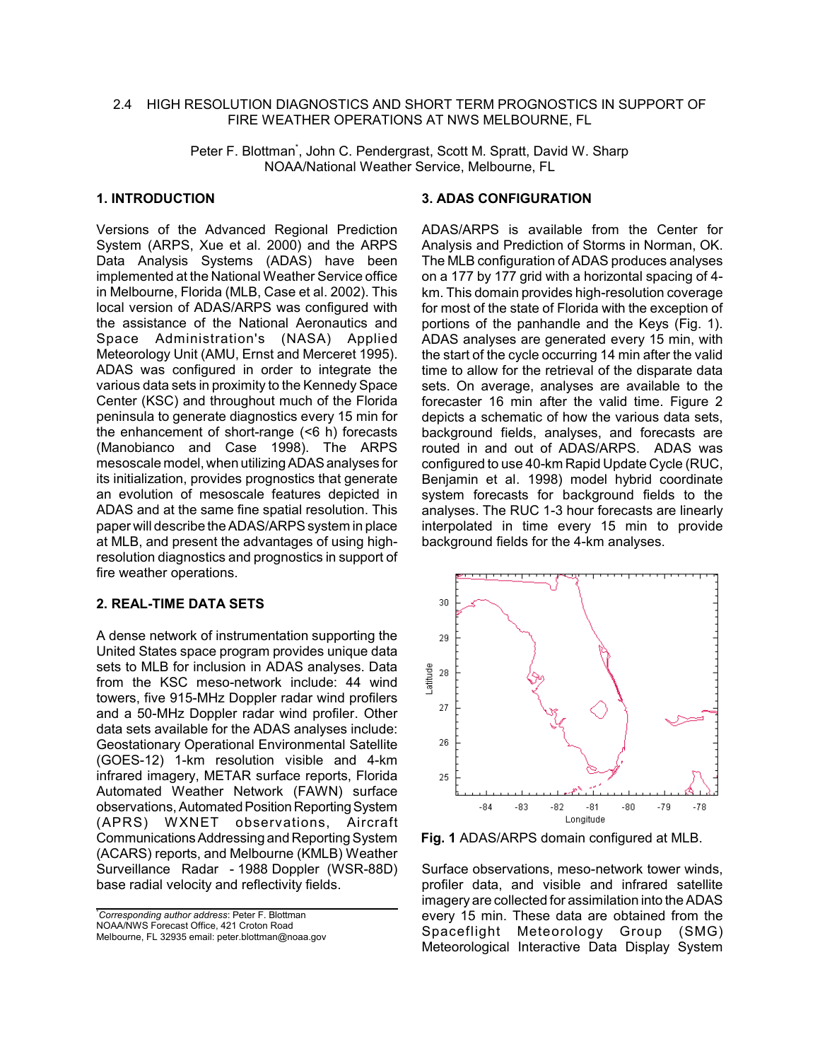#### 2.4 HIGH RESOLUTION DIAGNOSTICS AND SHORT TERM PROGNOSTICS IN SUPPORT OF FIRE WEATHER OPERATIONS AT NWS MELBOURNE, FL

Peter F. Blottman<sup>\*</sup>, John C. Pendergrast, Scott M. Spratt, David W. Sharp NOAA/National Weather Service, Melbourne, FL

## **1. INTRODUCTION**

Versions of the Advanced Regional Prediction System (ARPS, Xue et al. 2000) and the ARPS Data Analysis Systems (ADAS) have been implemented at the National Weather Service office in Melbourne, Florida (MLB, Case et al. 2002). This local version of ADAS/ARPS was configured with the assistance of the National Aeronautics and Space Administration's (NASA) Applied Meteorology Unit (AMU, Ernst and Merceret 1995). ADAS was configured in order to integrate the various data sets in proximity to the Kennedy Space Center (KSC) and throughout much of the Florida peninsula to generate diagnostics every 15 min for the enhancement of short-range (<6 h) forecasts (Manobianco and Case 1998). The ARPS mesoscale model, when utilizing ADAS analyses for its initialization, provides prognostics that generate an evolution of mesoscale features depicted in ADAS and at the same fine spatial resolution. This paper will describe the ADAS/ARPS system in place at MLB, and present the advantages of using highresolution diagnostics and prognostics in support of fire weather operations.

#### **2. REAL-TIME DATA SETS**

A dense network of instrumentation supporting the United States space program provides unique data sets to MLB for inclusion in ADAS analyses. Data from the KSC meso-network include: 44 wind towers, five 915-MHz Doppler radar wind profilers and a 50-MHz Doppler radar wind profiler. Other data sets available for the ADAS analyses include: Geostationary Operational Environmental Satellite (GOES-12) 1-km resolution visible and 4-km infrared imagery, METAR surface reports, Florida Automated Weather Network (FAWN) surface observations, Automated Position Reporting System<br>(APRS) WXNET observations. Aircraft (APRS) WXNET observations, Aircraft Communications Addressing and Reporting System (ACARS) reports, and Melbourne (KMLB) Weather Surveillance Radar - 1988 Doppler (WSR-88D) base radial velocity and reflectivity fields.

#### **3. ADAS CONFIGURATION**

ADAS/ARPS is available from the Center for Analysis and Prediction of Storms in Norman, OK. The MLB configuration of ADAS produces analyses on a 177 by 177 grid with a horizontal spacing of 4 km. This domain provides high-resolution coverage for most of the state of Florida with the exception of portions of the panhandle and the Keys (Fig. 1). ADAS analyses are generated every 15 min, with the start of the cycle occurring 14 min after the valid time to allow for the retrieval of the disparate data sets. On average, analyses are available to the forecaster 16 min after the valid time. Figure 2 depicts a schematic of how the various data sets, background fields, analyses, and forecasts are routed in and out of ADAS/ARPS. ADAS was configured to use 40-km Rapid Update Cycle (RUC, Benjamin et al. 1998) model hybrid coordinate system forecasts for background fields to the analyses. The RUC 1-3 hour forecasts are linearly interpolated in time every 15 min to provide background fields for the 4-km analyses.



**Fig. 1** ADAS/ARPS domain configured at MLB.

Surface observations, meso-network tower winds, profiler data, and visible and infrared satellite imagery are collected for assimilation into the ADAS every 15 min. These data are obtained from the Spaceflight Meteorology Group (SMG) Meteorological Interactive Data Display System

<sup>\*</sup> *Corresponding author address*: Peter F. Blottman NOAA/NWS Forecast Office, 421 Croton Road Melbourne, FL 32935 email: peter.blottman@noaa.gov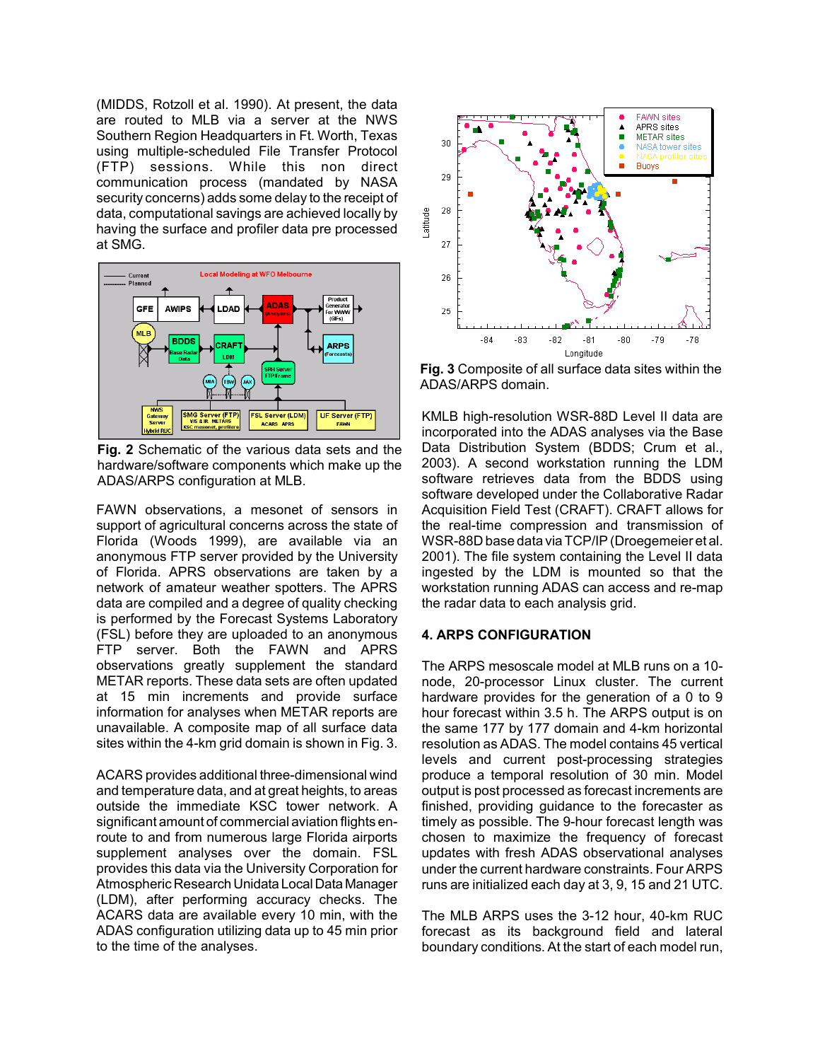(MIDDS, Rotzoll et al. 1990). At present, the data are routed to MLB via a server at the NWS Southern Region Headquarters in Ft. Worth, Texas using multiple-scheduled File Transfer Protocol (FTP) sessions. While this non direct communication process (mandated by NASA security concerns) adds some delay to the receipt of data, computational savings are achieved locally by having the surface and profiler data pre processed at SMG.



**Fig. 2** Schematic of the various data sets and the hardware/software components which make up the ADAS/ARPS configuration at MLB.

FAWN observations, a mesonet of sensors in support of agricultural concerns across the state of Florida (Woods 1999), are available via an anonymous FTP server provided by the University of Florida. APRS observations are taken by a network of amateur weather spotters. The APRS data are compiled and a degree of quality checking is performed by the Forecast Systems Laboratory (FSL) before they are uploaded to an anonymous FTP server. Both the FAWN and APRS observations greatly supplement the standard METAR reports. These data sets are often updated at 15 min increments and provide surface information for analyses when METAR reports are unavailable. A composite map of all surface data sites within the 4-km grid domain is shown in Fig. 3.

ACARS provides additional three-dimensional wind and temperature data, and at great heights, to areas outside the immediate KSC tower network. A significant amount of commercial aviation flights enroute to and from numerous large Florida airports supplement analyses over the domain. FSL provides this data via the University Corporation for Atmospheric Research Unidata Local Data Manager (LDM), after performing accuracy checks. The ACARS data are available every 10 min, with the ADAS configuration utilizing data up to 45 min prior to the time of the analyses.



**Fig. 3** Composite of all surface data sites within the ADAS/ARPS domain.

KMLB high-resolution WSR-88D Level II data are incorporated into the ADAS analyses via the Base Data Distribution System (BDDS; Crum et al., 2003). A second workstation running the LDM software retrieves data from the BDDS using software developed under the Collaborative Radar Acquisition Field Test (CRAFT). CRAFT allows for the real-time compression and transmission of WSR-88D base data via TCP/IP (Droegemeier et al. 2001). The file system containing the Level II data ingested by the LDM is mounted so that the workstation running ADAS can access and re-map the radar data to each analysis grid.

## **4. ARPS CONFIGURATION**

The ARPS mesoscale model at MLB runs on a 10 node, 20-processor Linux cluster. The current hardware provides for the generation of a 0 to 9 hour forecast within 3.5 h. The ARPS output is on the same 177 by 177 domain and 4-km horizontal resolution as ADAS. The model contains 45 vertical levels and current post-processing strategies produce a temporal resolution of 30 min. Model output is post processed as forecast increments are finished, providing guidance to the forecaster as timely as possible. The 9-hour forecast length was chosen to maximize the frequency of forecast updates with fresh ADAS observational analyses under the current hardware constraints. Four ARPS runs are initialized each day at 3, 9, 15 and 21 UTC.

The MLB ARPS uses the 3-12 hour, 40-km RUC forecast as its background field and lateral boundary conditions. At the start of each model run,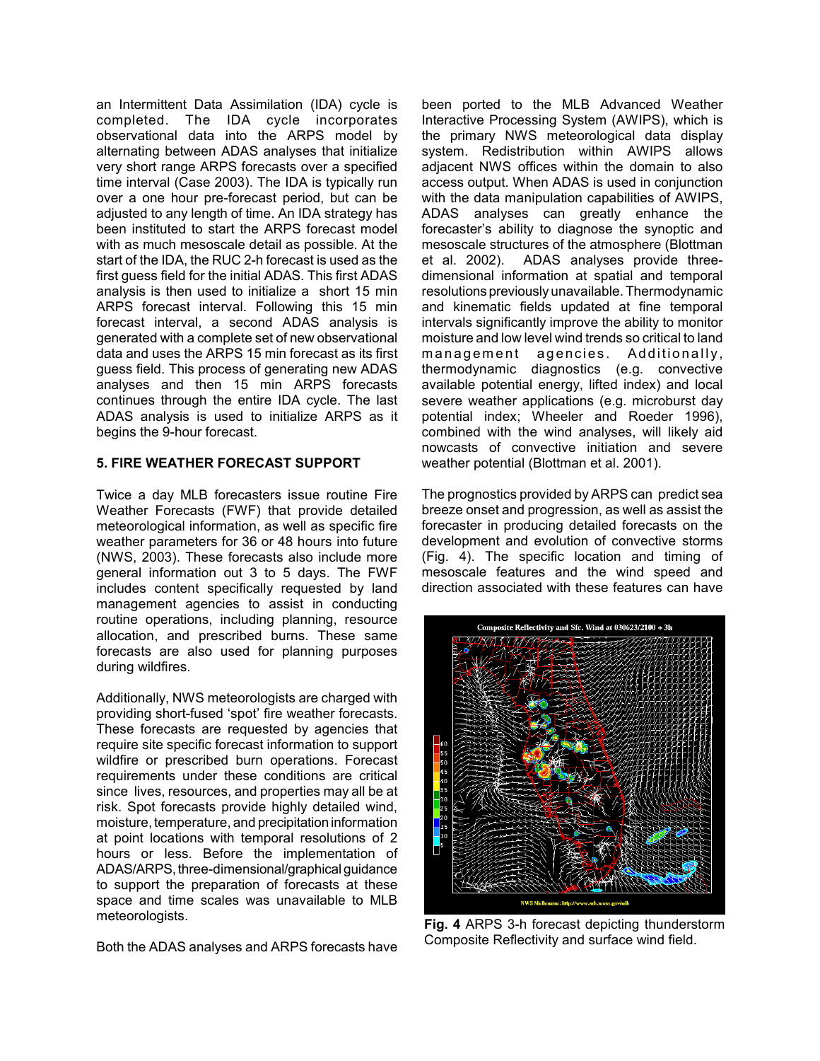an Intermittent Data Assimilation (IDA) cycle is completed. The IDA cycle incorporates observational data into the ARPS model by alternating between ADAS analyses that initialize very short range ARPS forecasts over a specified time interval (Case 2003). The IDA is typically run over a one hour pre-forecast period, but can be adjusted to any length of time. An IDA strategy has been instituted to start the ARPS forecast model with as much mesoscale detail as possible. At the start of the IDA, the RUC 2-h forecast is used as the first guess field for the initial ADAS. This first ADAS analysis is then used to initialize a short 15 min ARPS forecast interval. Following this 15 min forecast interval, a second ADAS analysis is generated with a complete set of new observational data and uses the ARPS 15 min forecast as its first guess field. This process of generating new ADAS analyses and then 15 min ARPS forecasts continues through the entire IDA cycle. The last ADAS analysis is used to initialize ARPS as it begins the 9-hour forecast.

## **5. FIRE WEATHER FORECAST SUPPORT**

Twice a day MLB forecasters issue routine Fire Weather Forecasts (FWF) that provide detailed meteorological information, as well as specific fire weather parameters for 36 or 48 hours into future (NWS, 2003). These forecasts also include more general information out 3 to 5 days. The FWF includes content specifically requested by land management agencies to assist in conducting routine operations, including planning, resource allocation, and prescribed burns. These same forecasts are also used for planning purposes during wildfires.

Additionally, NWS meteorologists are charged with providing short-fused 'spot' fire weather forecasts. These forecasts are requested by agencies that require site specific forecast information to support wildfire or prescribed burn operations. Forecast requirements under these conditions are critical since lives, resources, and properties may all be at risk. Spot forecasts provide highly detailed wind, moisture, temperature, and precipitation information at point locations with temporal resolutions of 2 hours or less. Before the implementation of ADAS/ARPS, three-dimensional/graphical guidance to support the preparation of forecasts at these space and time scales was unavailable to MLB meteorologists.

Both the ADAS analyses and ARPS forecasts have

been ported to the MLB Advanced Weather Interactive Processing System (AWIPS), which is the primary NWS meteorological data display system. Redistribution within AWIPS allows adjacent NWS offices within the domain to also access output. When ADAS is used in conjunction with the data manipulation capabilities of AWIPS, ADAS analyses can greatly enhance the forecaster's ability to diagnose the synoptic and mesoscale structures of the atmosphere (Blottman et al. 2002). ADAS analyses provide threedimensional information at spatial and temporal resolutions previously unavailable. Thermodynamic and kinematic fields updated at fine temporal intervals significantly improve the ability to monitor moisture and low level wind trends so critical to land management agencies. Additionally, thermodynamic diagnostics (e.g. convective available potential energy, lifted index) and local severe weather applications (e.g. microburst day potential index; Wheeler and Roeder 1996), combined with the wind analyses, will likely aid nowcasts of convective initiation and severe weather potential (Blottman et al. 2001).

The prognostics provided by ARPS can predict sea breeze onset and progression, as well as assist the forecaster in producing detailed forecasts on the development and evolution of convective storms (Fig. 4). The specific location and timing of mesoscale features and the wind speed and direction associated with these features can have



**Fig. 4** ARPS 3-h forecast depicting thunderstorm Composite Reflectivity and surface wind field.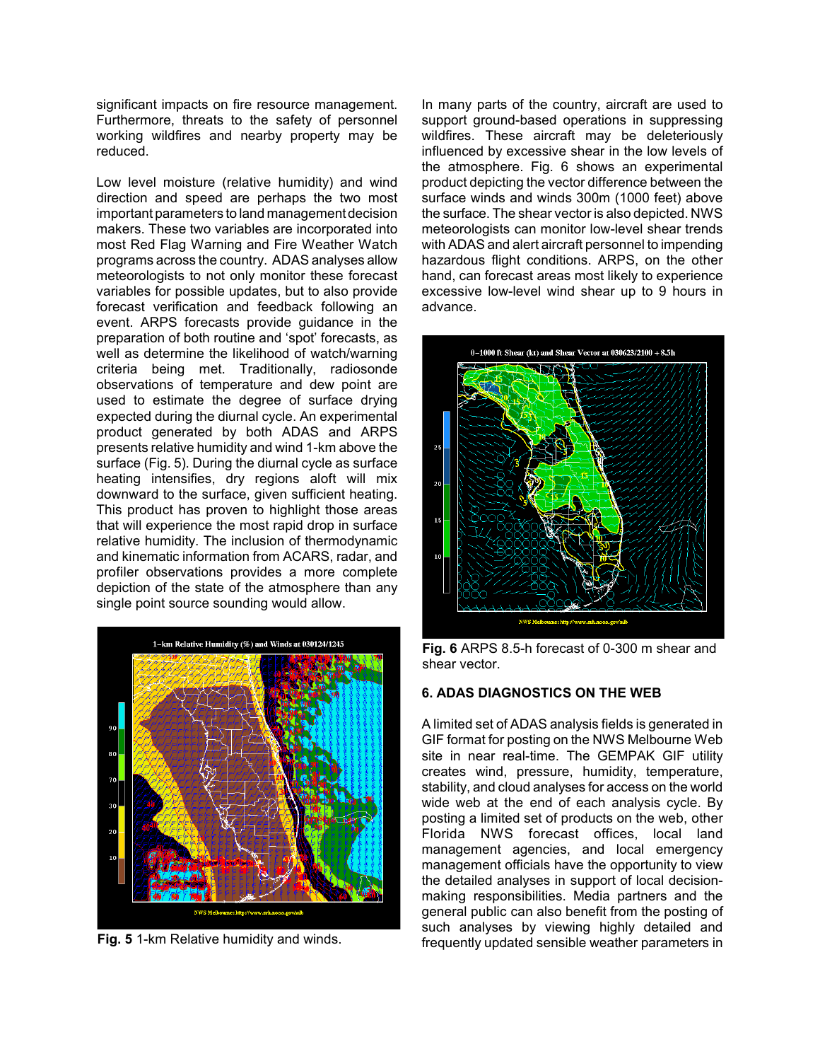significant impacts on fire resource management. Furthermore, threats to the safety of personnel working wildfires and nearby property may be reduced.

Low level moisture (relative humidity) and wind direction and speed are perhaps the two most important parameters to land management decision makers. These two variables are incorporated into most Red Flag Warning and Fire Weather Watch programs across the country. ADAS analyses allow meteorologists to not only monitor these forecast variables for possible updates, but to also provide forecast verification and feedback following an event. ARPS forecasts provide guidance in the preparation of both routine and 'spot' forecasts, as well as determine the likelihood of watch/warning criteria being met. Traditionally, radiosonde observations of temperature and dew point are used to estimate the degree of surface drying expected during the diurnal cycle. An experimental product generated by both ADAS and ARPS presents relative humidity and wind 1-km above the surface (Fig. 5). During the diurnal cycle as surface heating intensifies, dry regions aloft will mix downward to the surface, given sufficient heating. This product has proven to highlight those areas that will experience the most rapid drop in surface relative humidity. The inclusion of thermodynamic and kinematic information from ACARS, radar, and profiler observations provides a more complete depiction of the state of the atmosphere than any single point source sounding would allow.



**Fig. 5** 1-km Relative humidity and winds.

In many parts of the country, aircraft are used to support ground-based operations in suppressing wildfires. These aircraft may be deleteriously influenced by excessive shear in the low levels of the atmosphere. Fig. 6 shows an experimental product depicting the vector difference between the surface winds and winds 300m (1000 feet) above the surface. The shear vector is also depicted. NWS meteorologists can monitor low-level shear trends with ADAS and alert aircraft personnel to impending hazardous flight conditions. ARPS, on the other hand, can forecast areas most likely to experience excessive low-level wind shear up to 9 hours in advance.



**Fig. 6** ARPS 8.5-h forecast of 0-300 m shear and shear vector.

# **6. ADAS DIAGNOSTICS ON THE WEB**

A limited set of ADAS analysis fields is generated in GIF format for posting on the NWS Melbourne Web site in near real-time. The GEMPAK GIF utility creates wind, pressure, humidity, temperature, stability, and cloud analyses for access on the world wide web at the end of each analysis cycle. By posting a limited set of products on the web, other Florida NWS forecast offices, local land management agencies, and local emergency management officials have the opportunity to view the detailed analyses in support of local decisionmaking responsibilities. Media partners and the general public can also benefit from the posting of such analyses by viewing highly detailed and frequently updated sensible weather parameters in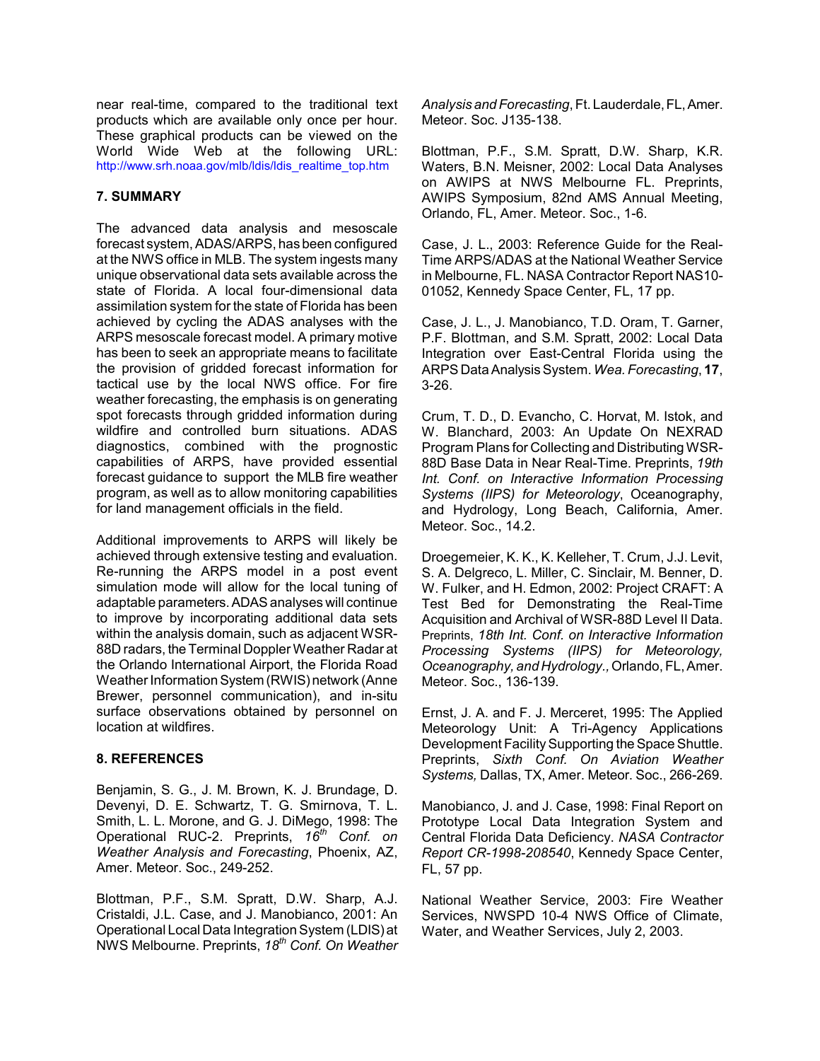near real-time, compared to the traditional text products which are available only once per hour. These graphical products can be viewed on the World Wide Web at the following URL: http://www.srh.noaa.gov/mlb/ldis/ldis\_realtime\_top.htm

## **7. SUMMARY**

The advanced data analysis and mesoscale forecast system, ADAS/ARPS, has been configured at the NWS office in MLB. The system ingests many unique observational data sets available across the state of Florida. A local four-dimensional data assimilation system for the state of Florida has been achieved by cycling the ADAS analyses with the ARPS mesoscale forecast model. A primary motive has been to seek an appropriate means to facilitate the provision of gridded forecast information for tactical use by the local NWS office. For fire weather forecasting, the emphasis is on generating spot forecasts through gridded information during wildfire and controlled burn situations. ADAS diagnostics, combined with the prognostic capabilities of ARPS, have provided essential forecast guidance to support the MLB fire weather program, as well as to allow monitoring capabilities for land management officials in the field.

Additional improvements to ARPS will likely be achieved through extensive testing and evaluation. Re-running the ARPS model in a post event simulation mode will allow for the local tuning of adaptable parameters. ADAS analyses will continue to improve by incorporating additional data sets within the analysis domain, such as adjacent WSR-88D radars, the Terminal Doppler Weather Radar at the Orlando International Airport, the Florida Road Weather Information System (RWIS) network (Anne Brewer, personnel communication), and in-situ surface observations obtained by personnel on location at wildfires.

# **8. REFERENCES**

Benjamin, S. G., J. M. Brown, K. J. Brundage, D. Devenyi, D. E. Schwartz, T. G. Smirnova, T. L. Smith, L. L. Morone, and G. J. DiMego, 1998: The Operational RUC-2. Preprints, *16th Conf. on Weather Analysis and Forecasting*, Phoenix, AZ, Amer. Meteor. Soc., 249-252.

Blottman, P.F., S.M. Spratt, D.W. Sharp, A.J. Cristaldi, J.L. Case, and J. Manobianco, 2001: An Operational Local Data Integration System (LDIS) at NWS Melbourne. Preprints, *18th Conf. On Weather*

*Analysis and Forecasting*, Ft. Lauderdale, FL, Amer. Meteor. Soc. J135-138.

Blottman, P.F., S.M. Spratt, D.W. Sharp, K.R. Waters, B.N. Meisner, 2002: Local Data Analyses on AWIPS at NWS Melbourne FL. Preprints, AWIPS Symposium, 82nd AMS Annual Meeting, Orlando, FL, Amer. Meteor. Soc., 1-6.

Case, J. L., 2003: Reference Guide for the Real-Time ARPS/ADAS at the National Weather Service in Melbourne, FL. NASA Contractor Report NAS10- 01052, Kennedy Space Center, FL, 17 pp.

Case, J. L., J. Manobianco, T.D. Oram, T. Garner, P.F. Blottman, and S.M. Spratt, 2002: Local Data Integration over East-Central Florida using the ARPS Data Analysis System. *Wea. Forecasting*, **17**, 3-26.

Crum, T. D., D. Evancho, C. Horvat, M. Istok, and W. Blanchard, 2003: An Update On NEXRAD Program Plans for Collecting and Distributing WSR-88D Base Data in Near Real-Time. Preprints, *19th Int. Conf. on Interactive Information Processing Systems (IIPS) for Meteorology*, Oceanography, and Hydrology, Long Beach, California, Amer. Meteor. Soc., 14.2.

Droegemeier, K. K., K. Kelleher, T. Crum, J.J. Levit, S. A. Delgreco, L. Miller, C. Sinclair, M. Benner, D. W. Fulker, and H. Edmon, 2002: Project CRAFT: A Test Bed for Demonstrating the Real-Time Acquisition and Archival of WSR-88D Level II Data. Preprints, *18th Int. Conf. on Interactive Information Processing Systems (IIPS) for Meteorology, Oceanography, and Hydrology.,* Orlando, FL, Amer. Meteor. Soc., 136-139.

Ernst, J. A. and F. J. Merceret, 1995: The Applied Meteorology Unit: A Tri-Agency Applications Development Facility Supporting the Space Shuttle. Preprints, *Sixth Conf. On Aviation Weather Systems,* Dallas, TX, Amer. Meteor. Soc., 266-269.

Manobianco, J. and J. Case, 1998: Final Report on Prototype Local Data Integration System and Central Florida Data Deficiency. *NASA Contractor Report CR-1998-208540*, Kennedy Space Center, FL, 57 pp.

National Weather Service, 2003: Fire Weather Services, NWSPD 10-4 NWS Office of Climate, Water, and Weather Services, July 2, 2003.